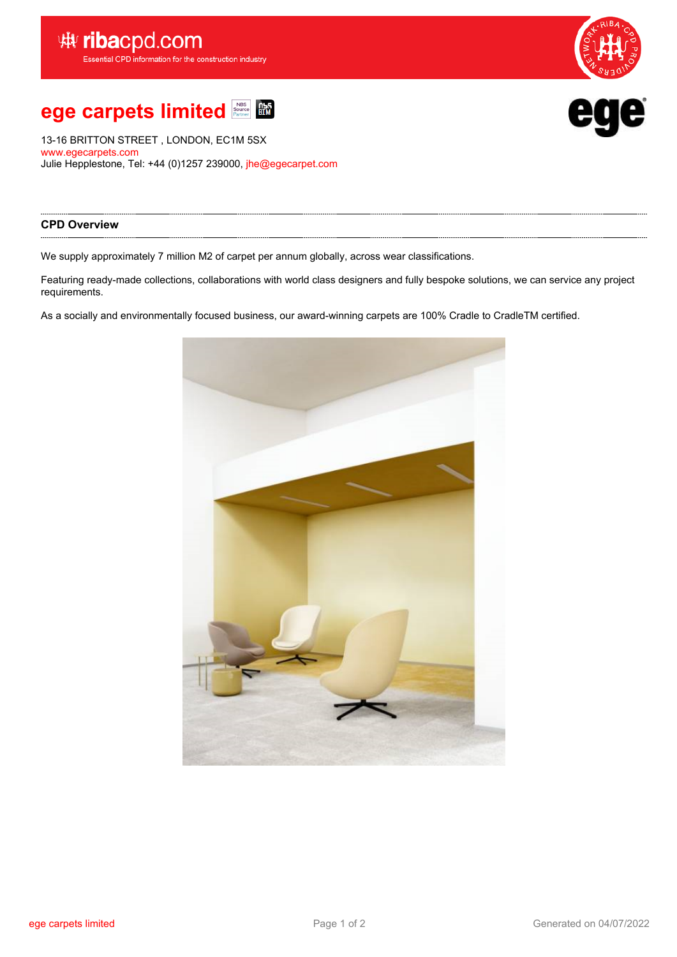



13-16 BRITTON STREET , LONDON, EC1M 5SX <www.egecarpets.com> Julie Hepplestone, Tel: +44 (0)1257 239000, [jhe@egecarpet.com](mailto:jhe@egecarpet.com)

# **CPD Overview**

We supply approximately 7 million M2 of carpet per annum globally, across wear classifications.

Featuring ready-made collections, collaborations with world class designers and fully bespoke solutions, we can service any project requirements.

As <sup>a</sup> socially and environmentally focused business, our award-winning carpets are 100% Cradle to CradleTM certified.